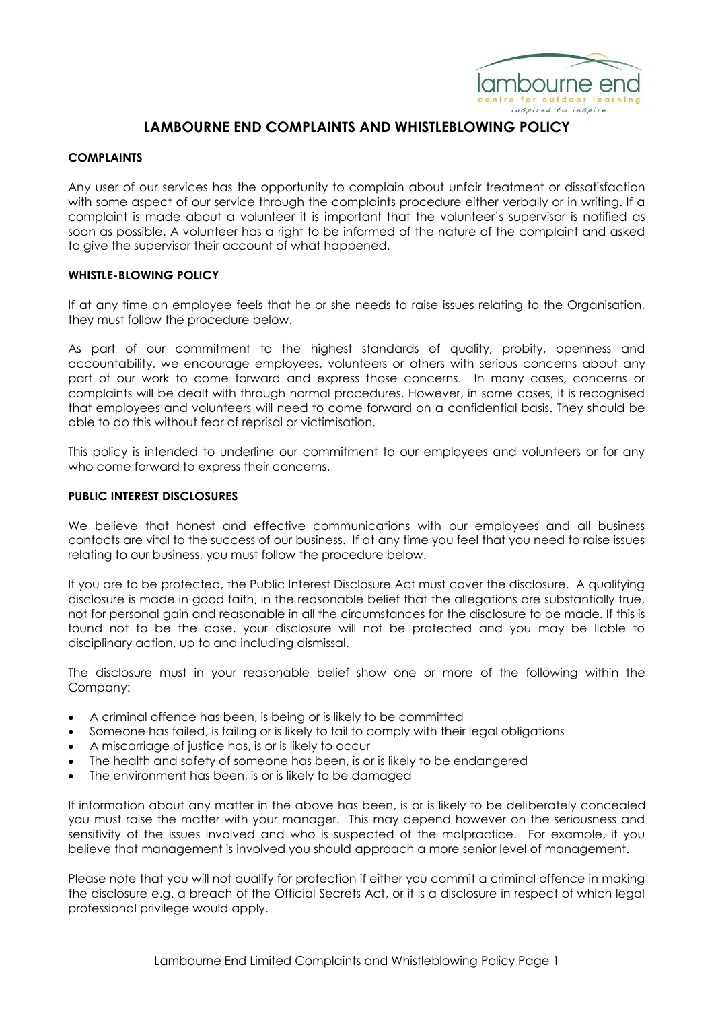

# **LAMBOURNE END COMPLAINTS AND WHISTLEBLOWING POLICY**

### **COMPLAINTS**

Any user of our services has the opportunity to complain about unfair treatment or dissatisfaction with some aspect of our service through the complaints procedure either verbally or in writing. If a complaint is made about a volunteer it is important that the volunteer's supervisor is notified as soon as possible. A volunteer has a right to be informed of the nature of the complaint and asked to give the supervisor their account of what happened.

### **WHISTLE-BLOWING POLICY**

If at any time an employee feels that he or she needs to raise issues relating to the Organisation, they must follow the procedure below.

As part of our commitment to the highest standards of quality, probity, openness and accountability, we encourage employees, volunteers or others with serious concerns about any part of our work to come forward and express those concerns. In many cases, concerns or complaints will be dealt with through normal procedures. However, in some cases, it is recognised that employees and volunteers will need to come forward on a confidential basis. They should be able to do this without fear of reprisal or victimisation.

This policy is intended to underline our commitment to our employees and volunteers or for any who come forward to express their concerns.

### **PUBLIC INTEREST DISCLOSURES**

We believe that honest and effective communications with our employees and all business contacts are vital to the success of our business. If at any time you feel that you need to raise issues relating to our business, you must follow the procedure below.

If you are to be protected, the Public Interest Disclosure Act must cover the disclosure. A qualifying disclosure is made in good faith, in the reasonable belief that the allegations are substantially true, not for personal gain and reasonable in all the circumstances for the disclosure to be made. If this is found not to be the case, your disclosure will not be protected and you may be liable to disciplinary action, up to and including dismissal.

The disclosure must in your reasonable belief show one or more of the following within the Company:

- A criminal offence has been, is being or is likely to be committed
- Someone has failed, is failing or is likely to fail to comply with their legal obligations
- A miscarriage of justice has, is or is likely to occur
- The health and safety of someone has been, is or is likely to be endangered
- The environment has been, is or is likely to be damaged

If information about any matter in the above has been, is or is likely to be deliberately concealed you must raise the matter with your manager. This may depend however on the seriousness and sensitivity of the issues involved and who is suspected of the malpractice. For example, if you believe that management is involved you should approach a more senior level of management.

Please note that you will not qualify for protection if either you commit a criminal offence in making the disclosure e.g. a breach of the Official Secrets Act, or it is a disclosure in respect of which legal professional privilege would apply.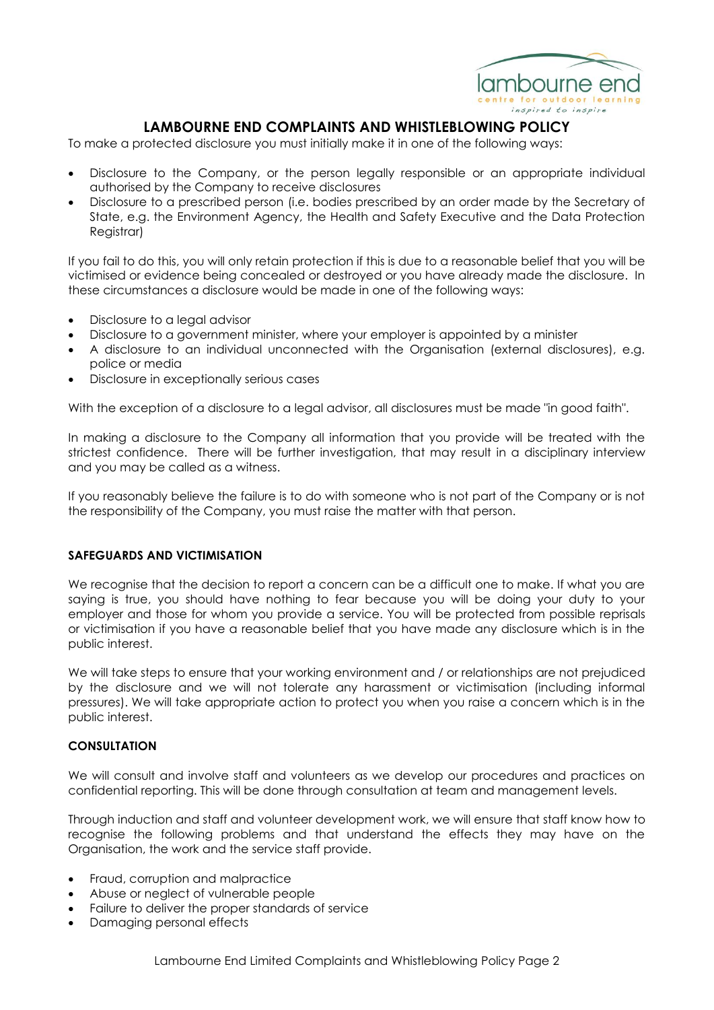

# **LAMBOURNE END COMPLAINTS AND WHISTLEBLOWING POLICY**

To make a protected disclosure you must initially make it in one of the following ways:

- Disclosure to the Company, or the person legally responsible or an appropriate individual authorised by the Company to receive disclosures
- Disclosure to a prescribed person (i.e. bodies prescribed by an order made by the Secretary of State, e.g. the Environment Agency, the Health and Safety Executive and the Data Protection Registrar)

If you fail to do this, you will only retain protection if this is due to a reasonable belief that you will be victimised or evidence being concealed or destroyed or you have already made the disclosure. In these circumstances a disclosure would be made in one of the following ways:

- Disclosure to a legal advisor
- Disclosure to a government minister, where your employer is appointed by a minister
- A disclosure to an individual unconnected with the Organisation (external disclosures), e.g. police or media
- Disclosure in exceptionally serious cases

With the exception of a disclosure to a legal advisor, all disclosures must be made "in good faith".

In making a disclosure to the Company all information that you provide will be treated with the strictest confidence. There will be further investigation, that may result in a disciplinary interview and you may be called as a witness.

If you reasonably believe the failure is to do with someone who is not part of the Company or is not the responsibility of the Company, you must raise the matter with that person.

#### **SAFEGUARDS AND VICTIMISATION**

We recognise that the decision to report a concern can be a difficult one to make. If what you are saying is true, you should have nothing to fear because you will be doing your duty to your employer and those for whom you provide a service. You will be protected from possible reprisals or victimisation if you have a reasonable belief that you have made any disclosure which is in the public interest.

We will take steps to ensure that your working environment and / or relationships are not prejudiced by the disclosure and we will not tolerate any harassment or victimisation (including informal pressures). We will take appropriate action to protect you when you raise a concern which is in the public interest.

#### **CONSULTATION**

We will consult and involve staff and volunteers as we develop our procedures and practices on confidential reporting. This will be done through consultation at team and management levels.

Through induction and staff and volunteer development work, we will ensure that staff know how to recognise the following problems and that understand the effects they may have on the Organisation, the work and the service staff provide.

- Fraud, corruption and malpractice
- Abuse or neglect of vulnerable people
- Failure to deliver the proper standards of service
- Damaging personal effects